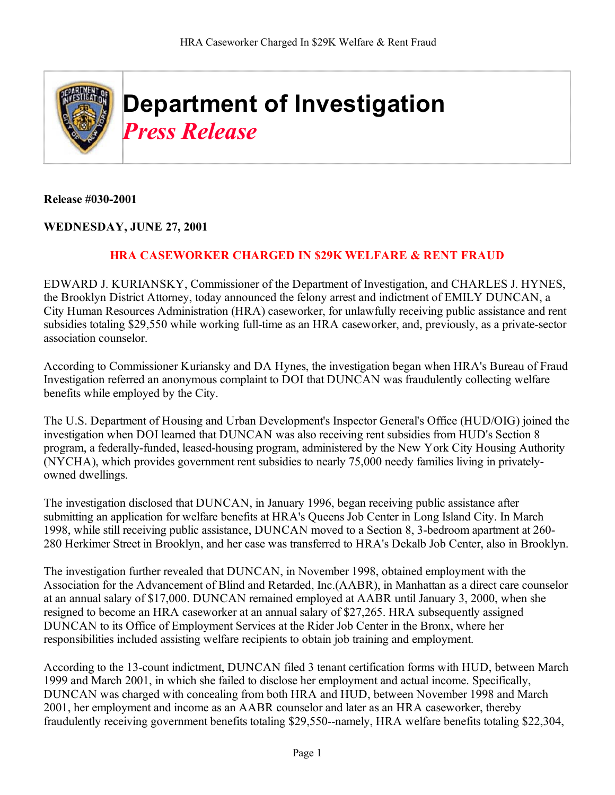

**Release #030-2001**

## **WEDNESDAY, JUNE 27, 2001**

## **HRA CASEWORKER CHARGED IN \$29K WELFARE & RENT FRAUD**

EDWARD J. KURIANSKY, Commissioner of the Department of Investigation, and CHARLES J. HYNES, the Brooklyn District Attorney, today announced the felony arrest and indictment of EMILY DUNCAN, a City Human Resources Administration (HRA) caseworker, for unlawfully receiving public assistance and rent subsidies totaling \$29,550 while working full-time as an HRA caseworker, and, previously, as a private-sector association counselor.

According to Commissioner Kuriansky and DA Hynes, the investigation began when HRA's Bureau of Fraud Investigation referred an anonymous complaint to DOI that DUNCAN was fraudulently collecting welfare benefits while employed by the City.

The U.S. Department of Housing and Urban Development's Inspector General's Office (HUD/OIG) joined the investigation when DOI learned that DUNCAN was also receiving rent subsidies from HUD's Section 8 program, a federally-funded, leased-housing program, administered by the New York City Housing Authority (NYCHA), which provides government rent subsidies to nearly 75,000 needy families living in privatelyowned dwellings.

The investigation disclosed that DUNCAN, in January 1996, began receiving public assistance after submitting an application for welfare benefits at HRA's Queens Job Center in Long Island City. In March 1998, while still receiving public assistance, DUNCAN moved to a Section 8, 3-bedroom apartment at 260- 280 Herkimer Street in Brooklyn, and her case was transferred to HRA's Dekalb Job Center, also in Brooklyn.

The investigation further revealed that DUNCAN, in November 1998, obtained employment with the Association for the Advancement of Blind and Retarded, Inc.(AABR), in Manhattan as a direct care counselor at an annual salary of \$17,000. DUNCAN remained employed at AABR until January 3, 2000, when she resigned to become an HRA caseworker at an annual salary of \$27,265. HRA subsequently assigned DUNCAN to its Office of Employment Services at the Rider Job Center in the Bronx, where her responsibilities included assisting welfare recipients to obtain job training and employment.

According to the 13-count indictment, DUNCAN filed 3 tenant certification forms with HUD, between March 1999 and March 2001, in which she failed to disclose her employment and actual income. Specifically, DUNCAN was charged with concealing from both HRA and HUD, between November 1998 and March 2001, her employment and income as an AABR counselor and later as an HRA caseworker, thereby fraudulently receiving government benefits totaling \$29,550--namely, HRA welfare benefits totaling \$22,304,